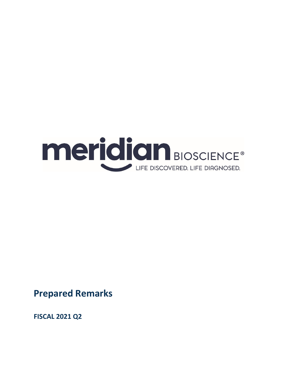

**Prepared Remarks**

**FISCAL 2021 Q2**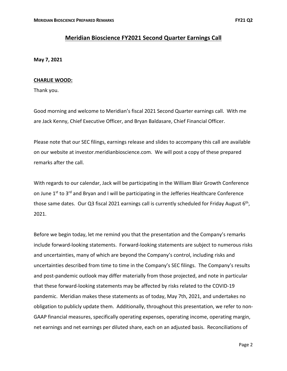# **Meridian Bioscience FY2021 Second Quarter Earnings Call**

**May 7, 2021**

### **CHARLIE WOOD:**

Thank you.

Good morning and welcome to Meridian's fiscal 2021 Second Quarter earnings call. With me are Jack Kenny, Chief Executive Officer, and Bryan Baldasare, Chief Financial Officer.

Please note that our SEC filings, earnings release and slides to accompany this call are available on our website at investor.meridianbioscience.com. We will post a copy of these prepared remarks after the call.

With regards to our calendar, Jack will be participating in the William Blair Growth Conference on June 1<sup>st</sup> to 3<sup>rd</sup> and Bryan and I will be participating in the Jefferies Healthcare Conference those same dates. Our Q3 fiscal 2021 earnings call is currently scheduled for Friday August  $6<sup>th</sup>$ , 2021.

Before we begin today, let me remind you that the presentation and the Company's remarks include forward‐looking statements. Forward‐looking statements are subject to numerous risks and uncertainties, many of which are beyond the Company's control, including risks and uncertainties described from time to time in the Company's SEC filings. The Company's results and post-pandemic outlook may differ materially from those projected, and note in particular that these forward‐looking statements may be affected by risks related to the COVID‐19 pandemic. Meridian makes these statements as of today, May 7th, 2021, and undertakes no obligation to publicly update them. Additionally, throughout this presentation, we refer to non‐ GAAP financial measures, specifically operating expenses, operating income, operating margin, net earnings and net earnings per diluted share, each on an adjusted basis. Reconciliations of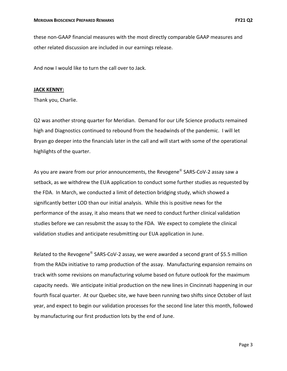these non‐GAAP financial measures with the most directly comparable GAAP measures and other related discussion are included in our earnings release.

And now I would like to turn the call over to Jack.

#### **JACK KENNY:**

Thank you, Charlie.

Q2 was another strong quarter for Meridian. Demand for our Life Science products remained high and Diagnostics continued to rebound from the headwinds of the pandemic. I will let Bryan go deeper into the financials later in the call and will start with some of the operational highlights of the quarter.

As you are aware from our prior announcements, the Revogene<sup>®</sup> SARS-CoV-2 assav saw a setback, as we withdrew the EUA application to conduct some further studies as requested by the FDA. In March, we conducted a limit of detection bridging study, which showed a significantly better LOD than our initial analysis. While this is positive news for the performance of the assay, it also means that we need to conduct further clinical validation studies before we can resubmit the assay to the FDA. We expect to complete the clinical validation studies and anticipate resubmitting our EUA application in June.

Related to the Revogene® SARS-CoV-2 assay, we were awarded a second grant of \$5.5 million from the RADx initiative to ramp production of the assay. Manufacturing expansion remains on track with some revisions on manufacturing volume based on future outlook for the maximum capacity needs. We anticipate initial production on the new lines in Cincinnati happening in our fourth fiscal quarter. At our Quebec site, we have been running two shifts since October of last year, and expect to begin our validation processes for the second line later this month, followed by manufacturing our first production lots by the end of June.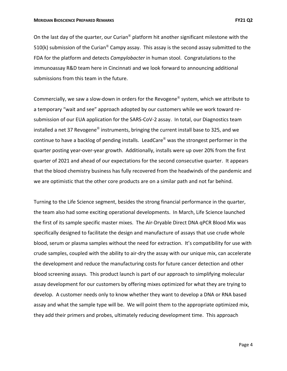On the last day of the quarter, our Curian<sup>®</sup> platform hit another significant milestone with the 510(k) submission of the Curian<sup>®</sup> Campy assay. This assay is the second assay submitted to the FDA for the platform and detects *Campylobacter* in human stool. Congratulations to the immunoassay R&D team here in Cincinnati and we look forward to announcing additional submissions from this team in the future.

Commercially, we saw a slow‐down in orders for the Revogene® system, which we attribute to a temporary "wait and see" approach adopted by our customers while we work toward re‐ submission of our EUA application for the SARS-CoV-2 assay. In total, our Diagnostics team installed a net 37 Revogene<sup>®</sup> instruments, bringing the current install base to 325, and we continue to have a backlog of pending installs. LeadCare® was the strongest performer in the quarter posting year‐over‐year growth. Additionally, installs were up over 20% from the first quarter of 2021 and ahead of our expectations for the second consecutive quarter. It appears that the blood chemistry business has fully recovered from the headwinds of the pandemic and we are optimistic that the other core products are on a similar path and not far behind.

Turning to the Life Science segment, besides the strong financial performance in the quarter, the team also had some exciting operational developments. In March, Life Science launched the first of its sample specific master mixes. The Air‐Dryable Direct DNA qPCR Blood Mix was specifically designed to facilitate the design and manufacture of assays that use crude whole blood, serum or plasma samples without the need for extraction. It's compatibility for use with crude samples, coupled with the ability to air‐dry the assay with our unique mix, can accelerate the development and reduce the manufacturing costs for future cancer detection and other blood screening assays. This product launch is part of our approach to simplifying molecular assay development for our customers by offering mixes optimized for what they are trying to develop. A customer needs only to know whether they want to develop a DNA or RNA based assay and what the sample type will be. We will point them to the appropriate optimized mix, they add their primers and probes, ultimately reducing development time. This approach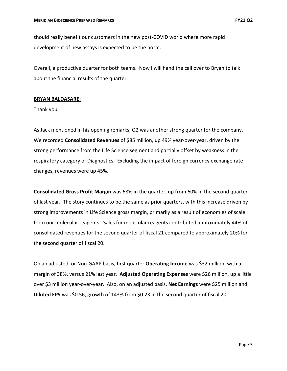should really benefit our customers in the new post‐COVID world where more rapid development of new assays is expected to be the norm.

Overall, a productive quarter for both teams. Now I will hand the call over to Bryan to talk about the financial results of the quarter.

#### **BRYAN BALDASARE:**

Thank you.

As Jack mentioned in his opening remarks, Q2 was another strong quarter for the company. We recorded **Consolidated Revenues** of \$85 million, up 49% year‐over‐year, driven by the strong performance from the Life Science segment and partially offset by weakness in the respiratory category of Diagnostics. Excluding the impact of foreign currency exchange rate changes, revenues were up 45%.

**Consolidated Gross Profit Margin** was 68% in the quarter, up from 60% in the second quarter of last year. The story continues to be the same as prior quarters, with this increase driven by strong improvements in Life Science gross margin, primarily as a result of economies of scale from our molecular reagents. Sales for molecular reagents contributed approximately 44% of consolidated revenues for the second quarter of fiscal 21 compared to approximately 20% for the second quarter of fiscal 20.

On an adjusted, or Non‐GAAP basis, first quarter **Operating Income** was \$32 million, with a margin of 38%, versus 21% last year. **Adjusted Operating Expenses** were \$26 million, up a little over \$3 million year‐over‐year. Also, on an adjusted basis, **Net Earnings** were \$25 million and **Diluted EPS** was \$0.56, growth of 143% from \$0.23 in the second quarter of fiscal 20.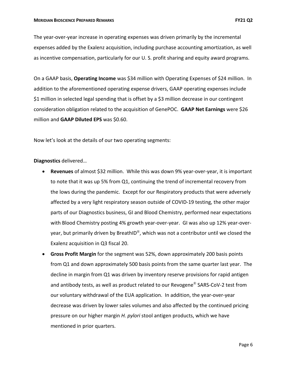The year‐over‐year increase in operating expenses was driven primarily by the incremental expenses added by the Exalenz acquisition, including purchase accounting amortization, as well as incentive compensation, particularly for our U. S. profit sharing and equity award programs.

On a GAAP basis, **Operating Income** was \$34 million with Operating Expenses of \$24 million. In addition to the aforementioned operating expense drivers, GAAP operating expenses include \$1 million in selected legal spending that is offset by a \$3 million decrease in our contingent consideration obligation related to the acquisition of GenePOC. **GAAP Net Earnings** were \$26 million and **GAAP Diluted EPS** was \$0.60.

Now let's look at the details of our two operating segments:

### **Diagnostics** delivered…

- **Revenues** of almost \$32 million. While this was down 9% year‐over‐year, it is important to note that it was up 5% from Q1, continuing the trend of incremental recovery from the lows during the pandemic. Except for our Respiratory products that were adversely affected by a very light respiratory season outside of COVID‐19 testing, the other major parts of our Diagnostics business, GI and Blood Chemistry, performed near expectations with Blood Chemistry posting 4% growth year‐over‐year. GI was also up 12% year‐over‐ year, but primarily driven by BreathID®, which was not a contributor until we closed the Exalenz acquisition in Q3 fiscal 20.
- **Gross Profit Margin** for the segment was 52%, down approximately 200 basis points from Q1 and down approximately 500 basis points from the same quarter last year. The decline in margin from Q1 was driven by inventory reserve provisions for rapid antigen and antibody tests, as well as product related to our Revogene<sup>®</sup> SARS-CoV-2 test from our voluntary withdrawal of the EUA application. In addition, the year‐over‐year decrease was driven by lower sales volumes and also affected by the continued pricing pressure on our higher margin *H. pylori* stool antigen products, which we have mentioned in prior quarters.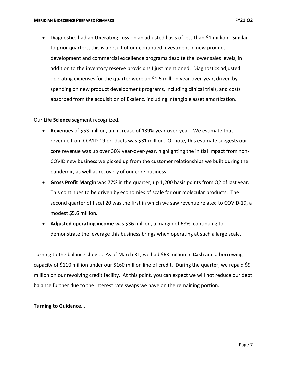Diagnostics had an **Operating Loss** on an adjusted basis of less than \$1 million. Similar to prior quarters, this is a result of our continued investment in new product development and commercial excellence programs despite the lower sales levels, in addition to the inventory reserve provisions I just mentioned. Diagnostics adjusted operating expenses for the quarter were up \$1.5 million year‐over‐year, driven by spending on new product development programs, including clinical trials, and costs absorbed from the acquisition of Exalenz, including intangible asset amortization.

Our **Life Science** segment recognized…

- **Revenues** of \$53 million, an increase of 139% year‐over‐year. We estimate that revenue from COVID‐19 products was \$31 million. Of note, this estimate suggests our core revenue was up over 30% year‐over‐year, highlighting the initial impact from non‐ COVID new business we picked up from the customer relationships we built during the pandemic, as well as recovery of our core business.
- **Gross Profit Margin** was 77% in the quarter, up 1,200 basis points from Q2 of last year. This continues to be driven by economies of scale for our molecular products. The second quarter of fiscal 20 was the first in which we saw revenue related to COVID‐19, a modest \$5.6 million.
- **Adjusted operating income** was \$36 million, a margin of 68%, continuing to demonstrate the leverage this business brings when operating at such a large scale.

Turning to the balance sheet… As of March 31, we had \$63 million in **Cash** and a borrowing capacity of \$110 million under our \$160 million line of credit. During the quarter, we repaid \$9 million on our revolving credit facility. At this point, you can expect we will not reduce our debt balance further due to the interest rate swaps we have on the remaining portion.

### **Turning to Guidance…**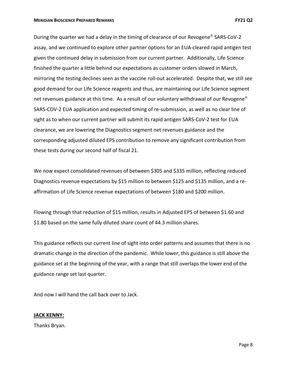During the quarter we had a delay in the timing of clearance of our Revogene<sup>®</sup> SARS-CoV-2 assay, and we continued to explore other partner options for an EUA‐cleared rapid antigen test given the continued delay in submission from our current partner. Additionally, Life Science finished the quarter a little behind our expectations as customer orders slowed in March, mirroring the testing declines seen as the vaccine roll‐out accelerated. Despite that, we still see good demand for our Life Science reagents and thus, are maintaining our Life Science segment net revenues guidance at this time. As a result of our voluntary withdrawal of our Revogene<sup>®</sup> SARS-COV-2 EUA application and expected timing of re-submission, as well as no clear line of sight as to when our current partner will submit its rapid antigen SARS‐CoV‐2 test for EUA clearance, we are lowering the Diagnostics segment net revenues guidance and the corresponding adjusted diluted EPS contribution to remove any significant contribution from these tests during our second half of fiscal 21.

We now expect consolidated revenues of between \$305 and \$335 million, reflecting reduced Diagnostics revenue expectations by \$15 million to between \$125 and \$135 million, and a reaffirmation of Life Science revenue expectations of between \$180 and \$200 million.

Flowing through that reduction of \$15 million, results in Adjusted EPS of between \$1.60 and \$1.80 based on the same fully diluted share count of 44.3 million shares.

This guidance reflects our current line of sight into order patterns and assumes that there is no dramatic change in the direction of the pandemic. While lower, this guidance is still above the guidance set at the beginning of the year, with a range that still overlaps the lower end of the guidance range set last quarter.

And now I will hand the call back over to Jack.

### **JACK KENNY:**

Thanks Bryan.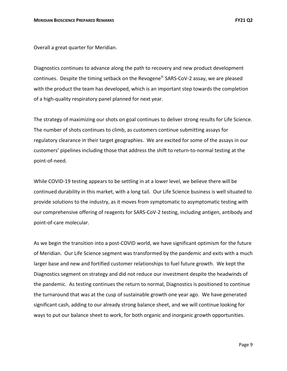Overall a great quarter for Meridian.

Diagnostics continues to advance along the path to recovery and new product development continues. Despite the timing setback on the Revogene® SARS-CoV-2 assay, we are pleased with the product the team has developed, which is an important step towards the completion of a high‐quality respiratory panel planned for next year.

The strategy of maximizing our shots on goal continues to deliver strong results for Life Science. The number of shots continues to climb, as customers continue submitting assays for regulatory clearance in their target geographies. We are excited for some of the assays in our customers' pipelines including those that address the shift to return-to-normal testing at the point‐of‐need.

While COVID-19 testing appears to be settling in at a lower level, we believe there will be continued durability in this market, with a long tail. Our Life Science business is well situated to provide solutions to the industry, as it moves from symptomatic to asymptomatic testing with our comprehensive offering of reagents for SARS‐CoV‐2 testing, including antigen, antibody and point‐of‐care molecular.

As we begin the transition into a post-COVID world, we have significant optimism for the future of Meridian. Our Life Science segment was transformed by the pandemic and exits with a much larger base and new and fortified customer relationships to fuel future growth. We kept the Diagnostics segment on strategy and did not reduce our investment despite the headwinds of the pandemic. As testing continues the return to normal, Diagnostics is positioned to continue the turnaround that was at the cusp of sustainable growth one year ago. We have generated significant cash, adding to our already strong balance sheet, and we will continue looking for ways to put our balance sheet to work, for both organic and inorganic growth opportunities.